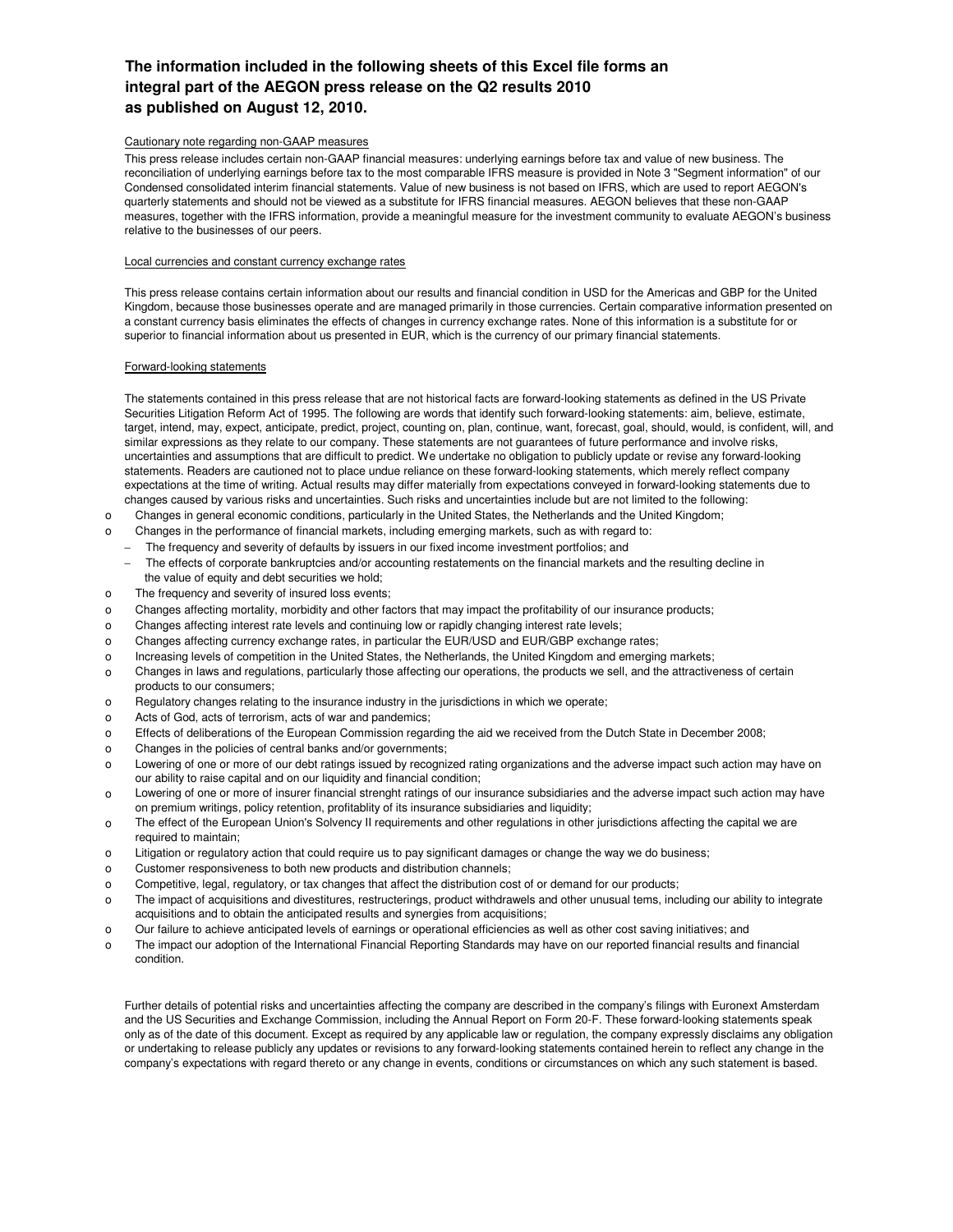# **The information included in the following sheets of this Excel file forms an integral part of the AEGON press release on the Q2 results 2010 as published on August 12, 2010.**

### Cautionary note regarding non-GAAP measures

 This press release includes certain non-GAAP financial measures: underlying earnings before tax and value of new business. The reconciliation of underlying earnings before tax to the most comparable IFRS measure is provided in Note 3 "Segment information" of our Condensed consolidated interim financial statements. Value of new business is not based on IFRS, which are used to report AEGON's quarterly statements and should not be viewed as a substitute for IFRS financial measures. AEGON believes that these non-GAAP measures, together with the IFRS information, provide a meaningful measure for the investment community to evaluate AEGON's business relative to the businesses of our peers.

#### Local currencies and constant currency exchange rates

 This press release contains certain information about our results and financial condition in USD for the Americas and GBP for the United Kingdom, because those businesses operate and are managed primarily in those currencies. Certain comparative information presented on a constant currency basis eliminates the effects of changes in currency exchange rates. None of this information is a substitute for or superior to financial information about us presented in EUR, which is the currency of our primary financial statements.

#### Forward-looking statements

 The statements contained in this press release that are not historical facts are forward-looking statements as defined in the US Private Securities Litigation Reform Act of 1995. The following are words that identify such forward-looking statements: aim, believe, estimate, target, intend, may, expect, anticipate, predict, project, counting on, plan, continue, want, forecast, goal, should, would, is confident, will, and similar expressions as they relate to our company. These statements are not guarantees of future performance and involve risks, uncertainties and assumptions that are difficult to predict. We undertake no obligation to publicly update or revise any forward-looking statements. Readers are cautioned not to place undue reliance on these forward-looking statements, which merely reflect company expectations at the time of writing. Actual results may differ materially from expectations conveyed in forward-looking statements due to changes caused by various risks and uncertainties. Such risks and uncertainties include but are not limited to the following:

- o Changes in general economic conditions, particularly in the United States, the Netherlands and the United Kingdom;
- o Changes in the performance of financial markets, including emerging markets, such as with regard to:
- − The frequency and severity of defaults by issuers in our fixed income investment portfolios; and
- − The effects of corporate bankruptcies and/or accounting restatements on the financial markets and the resulting decline in the value of equity and debt securities we hold;
- o The frequency and severity of insured loss events;
- o Changes affecting mortality, morbidity and other factors that may impact the profitability of our insurance products;
- o Changes affecting interest rate levels and continuing low or rapidly changing interest rate levels;
- o Changes affecting currency exchange rates, in particular the EUR/USD and EUR/GBP exchange rates;
- o Increasing levels of competition in the United States, the Netherlands, the United Kingdom and emerging markets;
- o Changes in laws and regulations, particularly those affecting our operations, the products we sell, and the attractiveness of certain products to our consumers;
- o Regulatory changes relating to the insurance industry in the jurisdictions in which we operate;
- o Acts of God, acts of terrorism, acts of war and pandemics;
- o Effects of deliberations of the European Commission regarding the aid we received from the Dutch State in December 2008;
- o Changes in the policies of central banks and/or governments;
- o Lowering of one or more of our debt ratings issued by recognized rating organizations and the adverse impact such action may have on our ability to raise capital and on our liquidity and financial condition;
- o Lowering of one or more of insurer financial strenght ratings of our insurance subsidiaries and the adverse impact such action may have on premium writings, policy retention, profitablity of its insurance subsidiaries and liquidity;
- o The effect of the European Union's Solvency II requirements and other regulations in other jurisdictions affecting the capital we are required to maintain;
- o Litigation or regulatory action that could require us to pay significant damages or change the way we do business;
- o Customer responsiveness to both new products and distribution channels;
- o Competitive, legal, regulatory, or tax changes that affect the distribution cost of or demand for our products;
- o The impact of acquisitions and divestitures, restructerings, product withdrawels and other unusual tems, including our ability to integrate acquisitions and to obtain the anticipated results and synergies from acquisitions;
- o Our failure to achieve anticipated levels of earnings or operational efficiencies as well as other cost saving initiatives; and
- o The impact our adoption of the International Financial Reporting Standards may have on our reported financial results and financial condition.

 Further details of potential risks and uncertainties affecting the company are described in the company's filings with Euronext Amsterdam and the US Securities and Exchange Commission, including the Annual Report on Form 20-F. These forward-looking statements speak only as of the date of this document. Except as required by any applicable law or regulation, the company expressly disclaims any obligation or undertaking to release publicly any updates or revisions to any forward-looking statements contained herein to reflect any change in the company's expectations with regard thereto or any change in events, conditions or circumstances on which any such statement is based.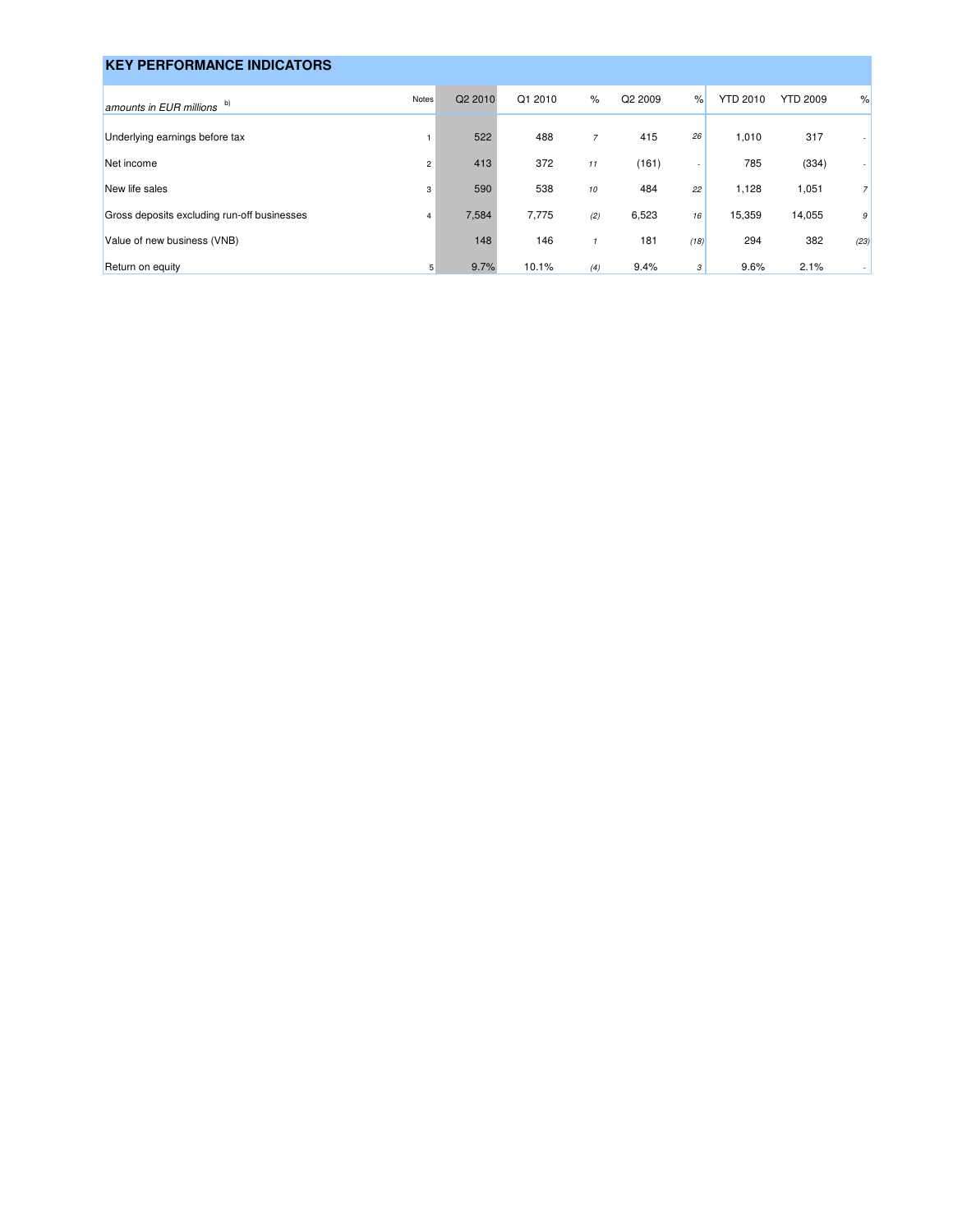| <b>KEY PERFORMANCE INDICATORS</b>           |                |         |         |                |         |               |                 |                 |                |
|---------------------------------------------|----------------|---------|---------|----------------|---------|---------------|-----------------|-----------------|----------------|
| amounts in EUR millions b)                  | Notes          | Q2 2010 | Q1 2010 | $\%$           | Q2 2009 | $\frac{9}{9}$ | <b>YTD 2010</b> | <b>YTD 2009</b> | %              |
| Underlying earnings before tax              |                | 522     | 488     | $\overline{z}$ | 415     | 26            | 1,010           | 317             |                |
| Net income                                  | $\overline{2}$ | 413     | 372     | 11             | (161)   |               | 785             | (334)           |                |
| New life sales                              | 3              | 590     | 538     | 10             | 484     | 22            | 1,128           | 1,051           | $\overline{7}$ |
| Gross deposits excluding run-off businesses | $\overline{4}$ | 7,584   | 7,775   | (2)            | 6,523   | 16            | 15,359          | 14,055          | $\mathcal{G}$  |
| Value of new business (VNB)                 |                | 148     | 146     |                | 181     | (18)          | 294             | 382             | (23)           |
| Return on equity                            | 5              | 9.7%    | 10.1%   | (4)            | 9.4%    | 3             | 9.6%            | 2.1%            |                |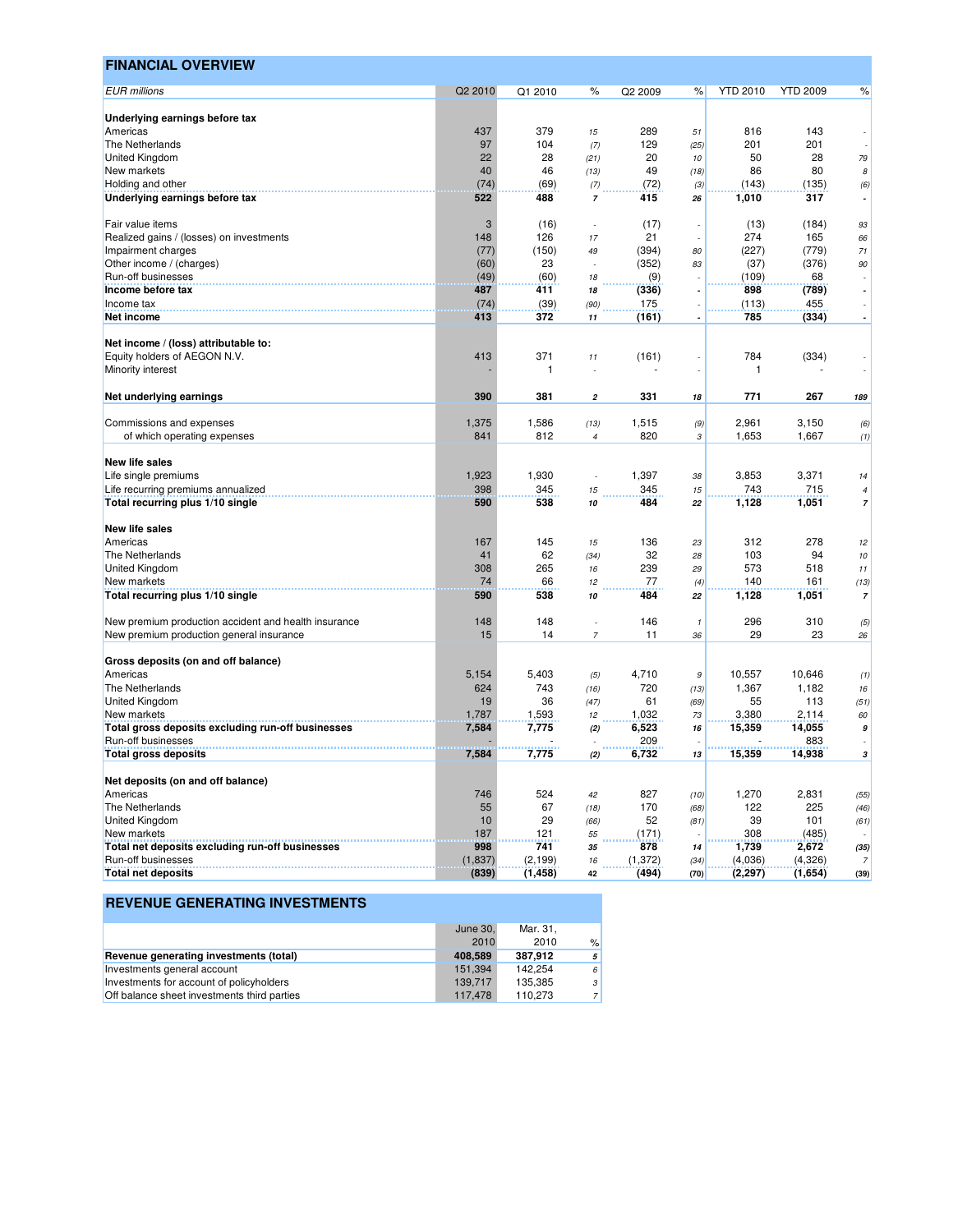| <b>FINANCIAL OVERVIEW</b>                            |         |             |                          |             |                          |                 |                 |                          |
|------------------------------------------------------|---------|-------------|--------------------------|-------------|--------------------------|-----------------|-----------------|--------------------------|
| <b>EUR</b> millions                                  | Q2 2010 | Q1 2010     | $\%$                     | Q2 2009     | %                        | <b>YTD 2010</b> | <b>YTD 2009</b> | $\%$                     |
| Underlying earnings before tax                       |         |             |                          |             |                          |                 |                 |                          |
| Americas                                             | 437     | 379         | 15                       | 289         | 51                       | 816             | 143             |                          |
| The Netherlands                                      | 97      | 104         | (7)                      | 129         | (25)                     | 201             | 201             |                          |
| United Kingdom                                       | 22      | 28          | (21)                     | 20          | 10                       | 50              | 28              | 79                       |
| New markets                                          | 40      | 46          |                          | 49          |                          | 86              | 80              |                          |
|                                                      | (74)    |             | (13)                     |             | (18)                     |                 |                 | 8                        |
| Holding and other<br>Underlying earnings before tax  | 522     | (69)<br>488 | (7)<br>$\overline{7}$    | (72)<br>415 | (3)<br>26                | (143)<br>1,010  | (135)<br>317    | (6)                      |
|                                                      |         |             |                          |             |                          |                 |                 |                          |
| Fair value items                                     | 3       | (16)        |                          | (17)        | ×                        | (13)            | (184)           | 93                       |
| Realized gains / (losses) on investments             | 148     | 126         | 17                       | 21          |                          | 274             | 165             | 66                       |
| Impairment charges                                   | (77)    | (150)       | 49                       | (394)       | 80                       | (227)           | (779)           | 71                       |
| Other income / (charges)                             | (60)    | 23          |                          | (352)       | 83                       | (37)            | (376)           | 90                       |
| Run-off businesses                                   | (49)    | (60)        | 18                       | (9)         |                          | (109)           | 68              |                          |
| Income before tax                                    | 487     | 411         | 18                       | (336)       |                          | 898             | (789)           |                          |
| Income tax                                           | (74)    | (39)        | (90)                     | 175         |                          | (113)           | 455             |                          |
| Net income                                           | 413     | 372         | 11                       | (161)       | $\overline{\phantom{a}}$ | 785             | (334)           | $\sim$                   |
| Net income / (loss) attributable to:                 |         |             |                          |             |                          |                 |                 |                          |
| Equity holders of AEGON N.V.                         | 413     | 371         | 11                       | (161)       |                          | 784             | (334)           |                          |
| Minority interest                                    |         | 1           |                          |             |                          | -1              |                 |                          |
|                                                      |         |             |                          |             |                          |                 |                 |                          |
| Net underlying earnings                              | 390     | 381         | $\boldsymbol{2}$         | 331         | 18                       | 771             | 267             | 189                      |
| Commissions and expenses                             | 1,375   | 1,586       | (13)                     | 1,515       | (9)                      | 2,961           | 3,150           | (6)                      |
| of which operating expenses                          | 841     | 812         | $\overline{\mathcal{L}}$ | 820         | 3                        | 1,653           | 1,667           | (1)                      |
|                                                      |         |             |                          |             |                          |                 |                 |                          |
| <b>New life sales</b>                                |         |             |                          |             |                          |                 |                 |                          |
| Life single premiums                                 | 1,923   | 1,930       |                          | 1,397       | 38                       | 3,853           | 3,371           | 14                       |
| Life recurring premiums annualized                   | 398     | 345         | 15                       | 345         | 15                       | 743             | 715             | $\overline{4}$           |
| Total recurring plus 1/10 single                     | 590     | 538         | 10                       | 484         | 22                       | 1,128           | 1,051           | $\overline{7}$           |
| New life sales                                       |         |             |                          |             |                          |                 |                 |                          |
| Americas                                             | 167     | 145         | 15                       | 136         | 23                       | 312             | 278             | 12                       |
| The Netherlands                                      | 41      | 62          | (34)                     | 32          | 28                       | 103             | 94              | 10                       |
| United Kingdom                                       | 308     | 265         | 16                       | 239         | 29                       | 573             | 518             | 11                       |
| New markets                                          | 74      | 66          | 12                       | 77          | (4)                      | 140             | 161             | (13)                     |
| Total recurring plus 1/10 single                     | 590     | 538         | 10                       | 484         | 22                       | 1,128           | 1,051           | $\overline{z}$           |
| New premium production accident and health insurance | 148     | 148         |                          | 146         | 1                        | 296             | 310             | (5)                      |
| New premium production general insurance             | 15      | 14          | $\overline{7}$           | 11          | 36                       | 29              | 23              | 26                       |
|                                                      |         |             |                          |             |                          |                 |                 |                          |
| Gross deposits (on and off balance)                  |         |             |                          |             |                          |                 |                 |                          |
| Americas                                             | 5,154   | 5,403       | (5)                      | 4,710       | 9                        | 10,557          | 10,646          | (1)                      |
| The Netherlands                                      | 624     | 743         | (16)                     | 720         | (13)                     | 1,367           | 1,182           | 16                       |
| United Kingdom                                       | 19      | 36          | (47)                     | 61          | (69)                     | 55              | 113             | (51)                     |
| New markets                                          | 1,787   | 1,593       | 12                       | 1,032       | 73                       | 3,380           | 2,114           | 60                       |
| Total gross deposits excluding run-off businesses    | 7,584   | 7,775       | (2)                      | 6,523       | 16                       | 15,359          | 14,055          | 9                        |
| Run-off businesses                                   |         |             |                          | 209         |                          |                 | 883             | $\overline{\phantom{a}}$ |
| <b>Total gross deposits</b>                          | 7,584   | 7,775       | (2)                      | 6,732       | 13                       | 15,359          | 14,938          | 3                        |
| Net deposits (on and off balance)                    |         |             |                          |             |                          |                 |                 |                          |
| Americas                                             | 746     | 524         | 42                       | 827         | (10)                     | 1,270           | 2,831           | (55)                     |
| The Netherlands                                      | 55      | 67          | (18)                     | 170         | (68)                     | 122             | 225             | (46)                     |
| United Kingdom                                       | 10      | 29          | (66)                     | 52          | (81)                     | 39              | 101             | (61)                     |
| New markets                                          | 187     | 121         | 55                       | (171)       |                          | 308             | (485)           |                          |
| Total net deposits excluding run-off businesses      | 998     | 741         | 35                       | 878         | 14                       | 1,739           | 2,672           | (35)                     |
| Run-off businesses                                   | (1,837) | (2, 199)    | 16                       | (1, 372)    | (34)                     | (4,036)         | (4,326)         | $\overline{z}$           |
| <b>Total net deposits</b>                            | (839)   | (1, 458)    | 42                       | (494)       | (70)                     | (2, 297)        | (1,654)         | (39)                     |

|                                             | June 30,<br>2010 | Mar. 31.<br>2010 | %              |
|---------------------------------------------|------------------|------------------|----------------|
| Revenue generating investments (total)      | 408.589          | 387.912          | 5 <sup>1</sup> |
| Investments general account                 | 151.394          | 142.254          | 6 <sup>1</sup> |
| Investments for account of policyholders    | 139.717          | 135.385          | 3 <sup>1</sup> |
| Off balance sheet investments third parties | 117.478          | 110.273          | $\overline{7}$ |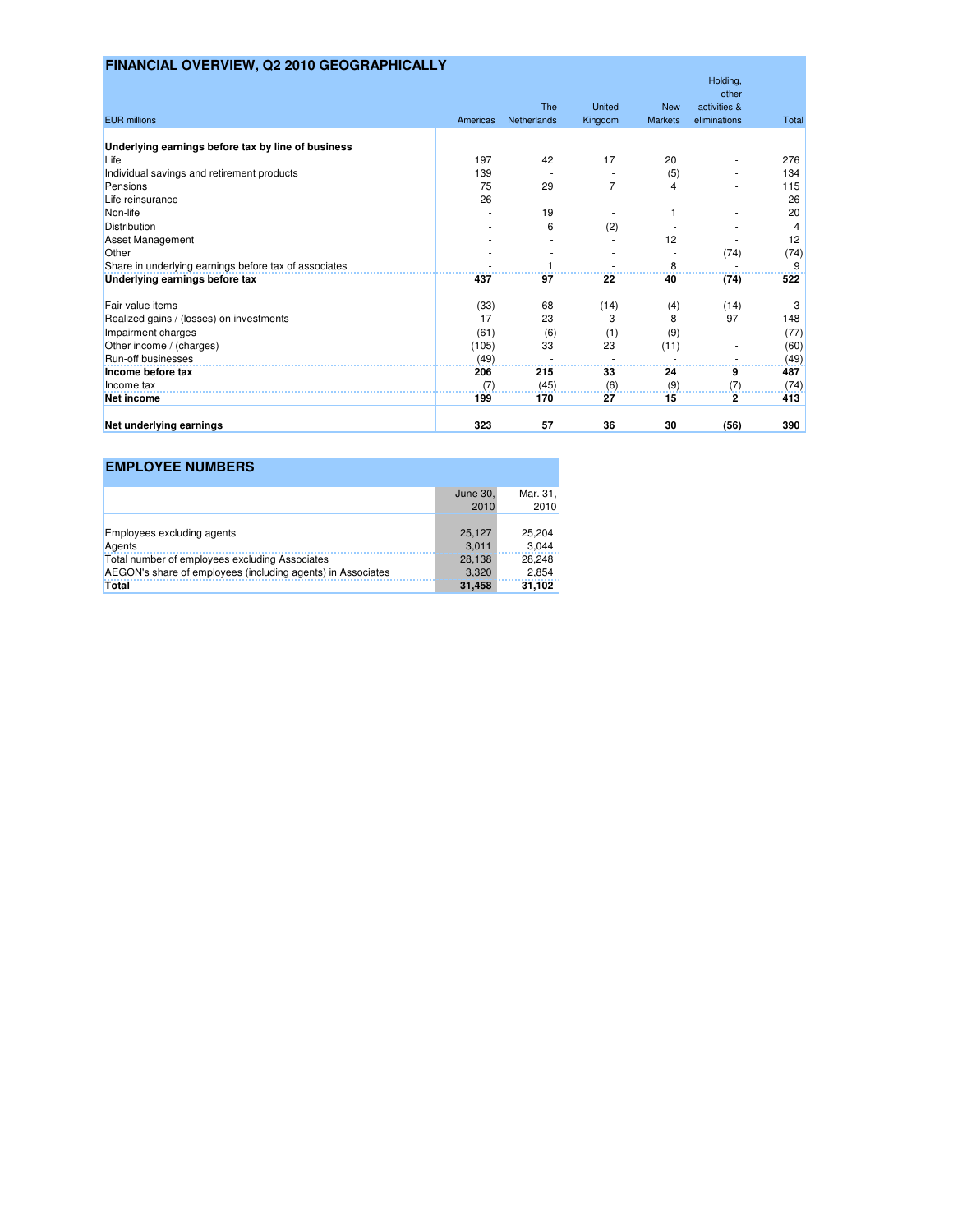| <b>FINANCIAL OVERVIEW, Q2 2010 GEOGRAPHICALLY</b>     |          |                    |                   |                              |                                                   |       |
|-------------------------------------------------------|----------|--------------------|-------------------|------------------------------|---------------------------------------------------|-------|
| <b>EUR millions</b>                                   | Americas | The<br>Netherlands | United<br>Kingdom | <b>New</b><br><b>Markets</b> | Holding,<br>other<br>activities &<br>eliminations | Total |
|                                                       |          |                    |                   |                              |                                                   |       |
| Underlying earnings before tax by line of business    |          |                    |                   |                              |                                                   |       |
| Life                                                  | 197      | 42                 | 17                | 20                           |                                                   | 276   |
| Individual savings and retirement products            | 139      |                    |                   | (5)                          |                                                   | 134   |
| Pensions                                              | 75       | 29                 |                   | 4                            |                                                   | 115   |
| Life reinsurance                                      | 26       |                    |                   |                              |                                                   | 26    |
| Non-life                                              |          | 19                 |                   |                              |                                                   | 20    |
| <b>Distribution</b>                                   |          | 6                  | (2)               |                              |                                                   | 4     |
| Asset Management                                      |          |                    |                   | 12                           |                                                   | 12    |
| Other                                                 |          |                    |                   |                              | (74)                                              | (74)  |
| Share in underlying earnings before tax of associates |          |                    |                   |                              |                                                   | 9     |
| Underlying earnings before tax                        | 437      | 97                 | 22                | 40                           | (74)                                              | 522   |
| Fair value items                                      | (33)     | 68                 | (14)              | (4)                          | (14)                                              | 3     |
| Realized gains / (losses) on investments              | 17       | 23                 | 3                 | 8                            | 97                                                | 148   |
| Impairment charges                                    | (61)     | (6)                | (1)               | (9)                          |                                                   | (77)  |
| Other income / (charges)                              | (105)    | 33                 | 23                | (11)                         |                                                   | (60)  |
| Run-off businesses                                    | (49)     |                    |                   |                              |                                                   | (49)  |
| Income before tax                                     | 206      | 215                | 33                | 24                           | 9                                                 | 487   |
| Income tax                                            | (7       | (45)               | (6                | (9                           | (7)                                               | (74)  |
| Net income                                            | 199      | 170                | 27                | 15                           | 2                                                 | 413   |
| Net underlying earnings                               | 323      | 57                 | 36                | 30                           | (56)                                              | 390   |

# **EMPLOYEE NUMBERS**

|                                                             | June 30, | Mar. $31.$ |
|-------------------------------------------------------------|----------|------------|
|                                                             | 2010     | 2010       |
|                                                             |          |            |
| Employees excluding agents                                  | 25.127   | 25.204     |
| Agents                                                      | 3.011    | 3.044      |
| Total number of employees excluding Associates              | 28.138   | 28.248     |
| AEGON's share of employees (including agents) in Associates | 3.320    | 2.854      |
| Total                                                       | 31.458   | 31.102     |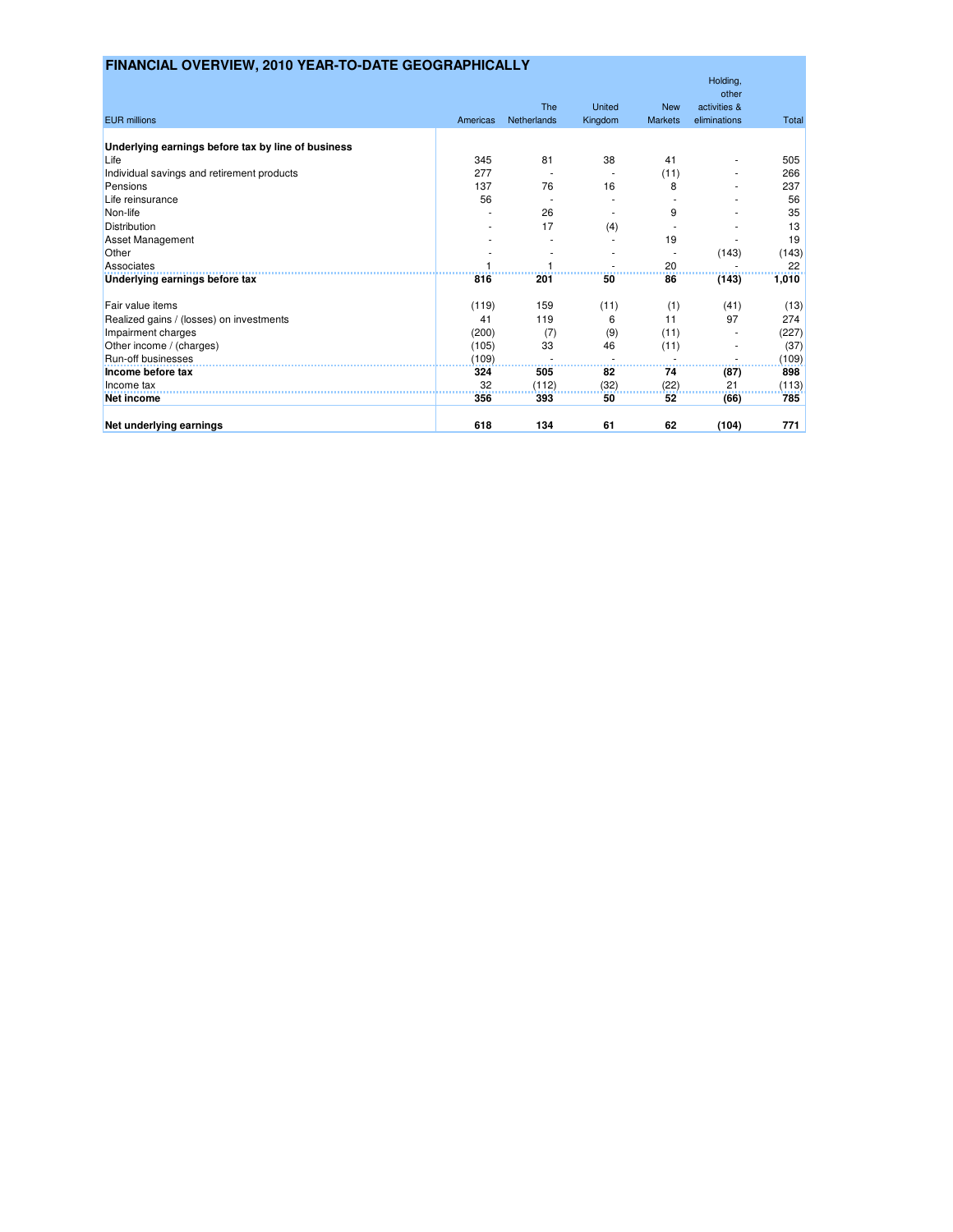| FINANCIAL OVERVIEW, 2010 YEAR-TO-DATE GEOGRAPHICALLY |          |             |         |                |                                   |       |
|------------------------------------------------------|----------|-------------|---------|----------------|-----------------------------------|-------|
|                                                      |          | The         | United  | <b>New</b>     | Holding,<br>other<br>activities & |       |
| <b>EUR millions</b>                                  | Americas | Netherlands | Kingdom | <b>Markets</b> | eliminations                      | Total |
| Underlying earnings before tax by line of business   |          |             |         |                |                                   |       |
| Life                                                 | 345      | 81          | 38      | 41             |                                   | 505   |
| Individual savings and retirement products           | 277      |             |         | (11)           |                                   | 266   |
| Pensions                                             | 137      | 76          | 16      | 8              |                                   | 237   |
| Life reinsurance                                     | 56       |             |         |                |                                   | 56    |
| Non-life                                             |          | 26          |         | 9              |                                   | 35    |
| <b>Distribution</b>                                  |          | 17          | (4)     |                |                                   | 13    |
| <b>Asset Management</b>                              |          |             |         | 19             |                                   | 19    |
| Other                                                |          |             |         |                | (143)                             | (143) |
| Associates                                           |          |             |         | 20             |                                   | 22    |
| Underlying earnings before tax                       | 816      | 201         | 50      | 86             | (143)                             | 1,010 |
| Fair value items                                     | (119)    | 159         | (11)    | (1)            | (41)                              | (13)  |
| Realized gains / (losses) on investments             | 41       | 119         | 6       | 11             | 97                                | 274   |
| Impairment charges                                   | (200)    | (7)         | (9)     | (11)           |                                   | (227) |
| Other income / (charges)                             | (105)    | 33          | 46      | (11)           |                                   | (37)  |
| Run-off businesses                                   | (109)    |             |         |                |                                   | (109) |
| Income before tax                                    | 324      | 505         | 82      | 74             | (87)                              | 898   |
| Income tax                                           | 32       | (112)       | (32)    | (22)           | 21                                | (113) |
| Net income                                           | 356      | 393         | 50      | 52             | (66)                              | 785   |
| Net underlying earnings                              | 618      | 134         | 61      | 62             | (104)                             | 771   |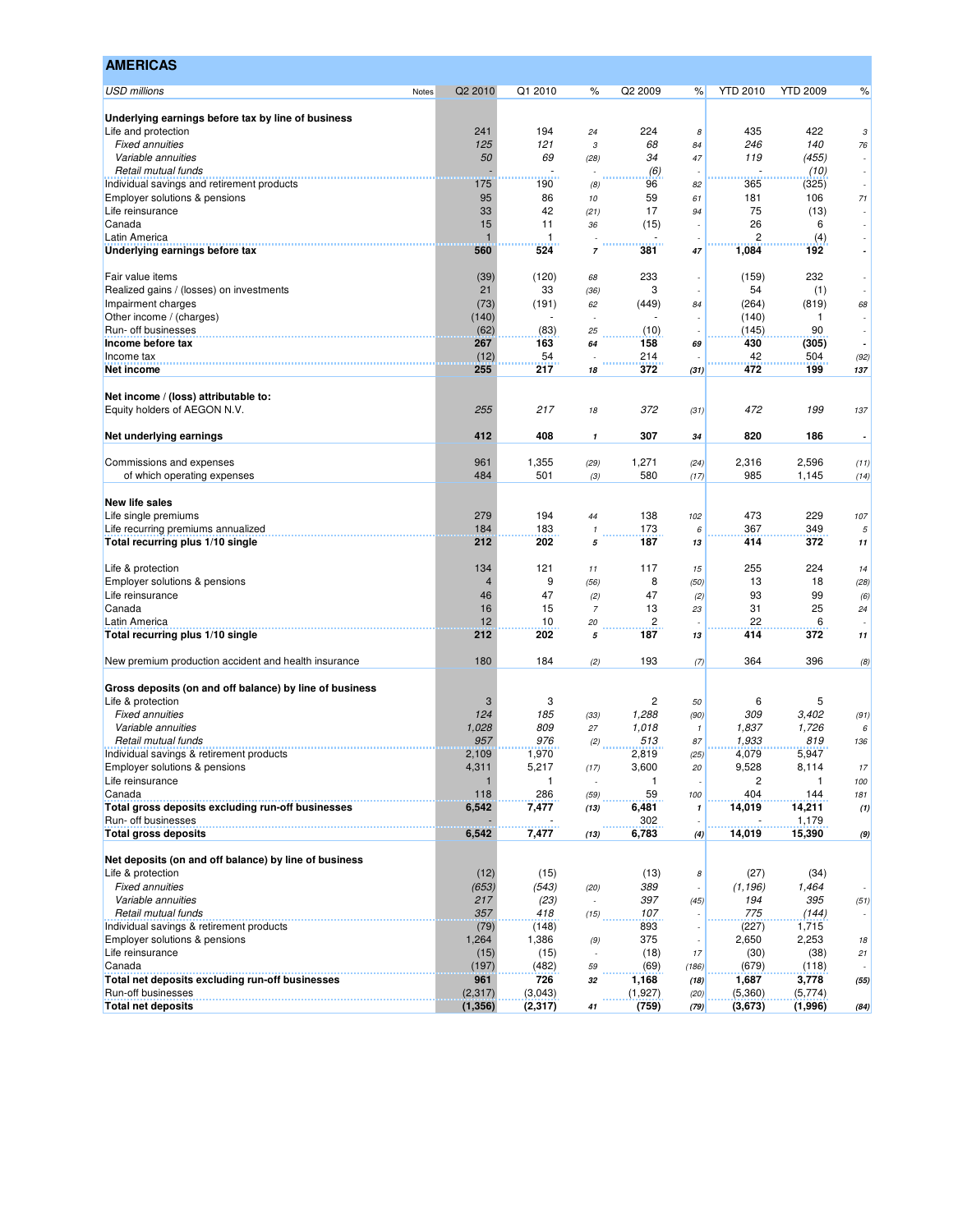| AMERICAS                                                                  |                |              |                |                      |            |                 |                 |                            |
|---------------------------------------------------------------------------|----------------|--------------|----------------|----------------------|------------|-----------------|-----------------|----------------------------|
| <b>USD</b> millions<br>Notes                                              | Q2 2010        | Q1 2010      | $\%$           | Q2 2009              | %          | <b>YTD 2010</b> | <b>YTD 2009</b> | $\%$                       |
|                                                                           |                |              |                |                      |            |                 |                 |                            |
| Underlying earnings before tax by line of business<br>Life and protection | 241            | 194          | 24             | 224                  | 8          | 435             | 422             | $\boldsymbol{\mathcal{S}}$ |
| <b>Fixed annuities</b>                                                    | 125            | 121          | 3              | 68                   | 84         | 246             | 140             | 76                         |
| Variable annuities                                                        | 50             | 69           | (28)           | 34                   | 47         | 119             | (455)           | $\overline{\phantom{a}}$   |
| Retail mutual funds                                                       |                |              |                | (6)                  |            |                 | (10)            | $\overline{\phantom{a}}$   |
| Individual savings and retirement products                                | 175            | 190          | (8)            | 96                   | 82         | 365             | (325)           | $\overline{\phantom{a}}$   |
| Employer solutions & pensions                                             | 95             | 86           | 10             | 59                   | 61         | 181             | 106             | 71                         |
| Life reinsurance<br>Canada                                                | 33<br>15       | 42<br>11     | (21)<br>36     | 17<br>(15)           | 94<br>J.   | 75<br>26        | (13)<br>6       | ×.                         |
| Latin America                                                             |                | 1            |                |                      |            | $\overline{2}$  | (4)             |                            |
| Underlying earnings before tax                                            | 560            | 524          | $\overline{7}$ | 381                  | 47         | 1,084           | 192             | $\overline{\phantom{a}}$   |
| Fair value items                                                          | (39)           | (120)        | 68             | 233                  | ×          | (159)           | 232             |                            |
| Realized gains / (losses) on investments                                  | 21             | 33           | (36)           | 3                    |            | 54              | (1)             |                            |
| Impairment charges                                                        | (73)           | (191)        | 62             | (449)                | 84         | (264)           | (819)           | 68                         |
| Other income / (charges)                                                  | (140)          |              |                |                      |            | (140)           | 1               | $\sim$                     |
| Run- off businesses                                                       | (62)           | (83)         | 25             | (10)                 |            | (145)           | 90              | ÷,                         |
| Income before tax                                                         | 267            | 163          | 64             | 158                  | 69         | 430             | (305)           | $\blacksquare$             |
| Income tax<br>Net income                                                  | (12)<br>255    | 54<br>217    | 18             | 214<br>372           | (31)       | 42<br>472       | 504<br>199      | (92)<br>137                |
|                                                                           |                |              |                |                      |            |                 |                 |                            |
| Net income / (loss) attributable to:                                      |                |              |                |                      |            |                 |                 |                            |
| Equity holders of AEGON N.V.                                              | 255            | 217          | 18             | 372                  | (31)       | 472             | 199             | 137                        |
| Net underlying earnings                                                   | 412            | 408          | 1              | 307                  | 34         | 820             | 186             |                            |
| Commissions and expenses                                                  | 961            | 1,355        | (29)           | 1,271                | (24)       | 2,316           | 2,596           | (11)                       |
| of which operating expenses                                               | 484            | 501          | (3)            | 580                  | (17)       | 985             | 1,145           | (14)                       |
|                                                                           |                |              |                |                      |            |                 |                 |                            |
| New life sales                                                            |                |              |                |                      |            |                 |                 |                            |
| Life single premiums                                                      | 279            | 194          | 44             | 138                  | 102        | 473             | 229             | 107                        |
| Life recurring premiums annualized<br>Total recurring plus 1/10 single    | 184<br>212     | 183<br>202   | 1<br>5         | 173<br>187           | 6<br>13    | 367<br>414      | 349<br>372      | 5<br>11                    |
|                                                                           |                |              |                |                      |            |                 |                 |                            |
| Life & protection                                                         | 134            | 121          | 11             | 117                  | 15         | 255             | 224             | 14                         |
| Employer solutions & pensions                                             | $\overline{4}$ | 9            | (56)           | 8                    | (50)       | 13              | 18              | (28)                       |
| Life reinsurance                                                          | 46             | 47           | (2)            | 47                   | (2)        | 93              | 99              | (6)                        |
| Canada<br>Latin America                                                   | 16<br>12       | 15<br>10     | $\overline{7}$ | 13<br>$\overline{2}$ | 23         | 31<br>22        | 25<br>6         | 24                         |
| Total recurring plus 1/10 single                                          | 212            | 202          | 20<br>5        | 187                  | 13         | 414             | 372             | 11                         |
|                                                                           |                |              |                |                      |            |                 |                 |                            |
| New premium production accident and health insurance                      | 180            | 184          | (2)            | 193                  | (7)        | 364             | 396             | (8)                        |
| Gross deposits (on and off balance) by line of business                   |                |              |                |                      |            |                 |                 |                            |
| Life & protection                                                         | 3              | 3            |                | 2                    | 50         | 6               | 5               |                            |
| <b>Fixed annuities</b>                                                    | 124            | 185          | (33)           | 1,288                | (90)       | 309             | 3,402           | (91)                       |
| Variable annuities                                                        | 1,028          | 809          | 27             | 1,018                | 1          | 1,837           | 1,726           | 6                          |
| Retail mutual funds                                                       | 957<br>2,109   | 976<br>1,970 | (2)            | 513<br>2,819         | 87         | 1,933<br>4,079  | 819<br>5,947    | 136                        |
| Individual savings & retirement products<br>Employer solutions & pensions | 4,311          | 5,217        | (17)           | 3,600                | (25)<br>20 | 9,528           | 8,114           | $17\,$                     |
| Life reinsurance                                                          | 1              | 1            |                | 1                    |            | 2               | $\mathbf{1}$    | 100                        |
| Canada                                                                    | 118            | 286          | (59)           | 59                   | 100        | 404             | 144             | 181                        |
| Total gross deposits excluding run-off businesses                         | 6,542          | 7,477        | (13)           | 6,481                | 1          | 14,019          | 14,211          | (1)                        |
| Run- off businesses                                                       |                |              |                | 302                  |            |                 | 1,179           |                            |
| <b>Total gross deposits</b>                                               | 6,542          | 7,477        | (13)           | 6,783                | (4)        | 14,019          | 15,390          | (9)                        |
| Net deposits (on and off balance) by line of business                     |                |              |                |                      |            |                 |                 |                            |
| Life & protection                                                         | (12)           | (15)         |                | (13)                 | 8          | (27)            | (34)            |                            |
| <b>Fixed annuities</b>                                                    | (653)          | (543)        | (20)           | 389                  | ×,         | (1, 196)        | 1,464           |                            |
| Variable annuities                                                        | 217            | (23)         |                | 397                  | (45)       | 194             | 395             | (51)                       |
| Retail mutual funds<br>Individual savings & retirement products           | 357<br>(79)    | 418<br>(148) | (15)           | 107<br>893           |            | 775<br>(227)    | (144)<br>1,715  |                            |
| Employer solutions & pensions                                             | 1,264          | 1,386        | (9)            | 375                  |            | 2,650           | 2,253           | 18                         |
| Life reinsurance                                                          | (15)           | (15)         |                | (18)                 | 17         | (30)            | (38)            | 21                         |
| Canada                                                                    | (197)          | (482)        | 59             | (69)                 | (186)      | (679)           | (118)           |                            |
| Total net deposits excluding run-off businesses                           | 961            | 726          | 32             | 1,168                | (18)       | 1,687           | 3,778           | (55)                       |
| Run-off businesses                                                        | (2, 317)       | (3,043)      |                | (1,927)              | (20)       | (5,360)         | (5, 774)        |                            |
| <b>Total net deposits</b>                                                 | (1, 356)       | (2, 317)     | 41             | (759)                | (79)       | (3,673)         | (1,996)         | (84)                       |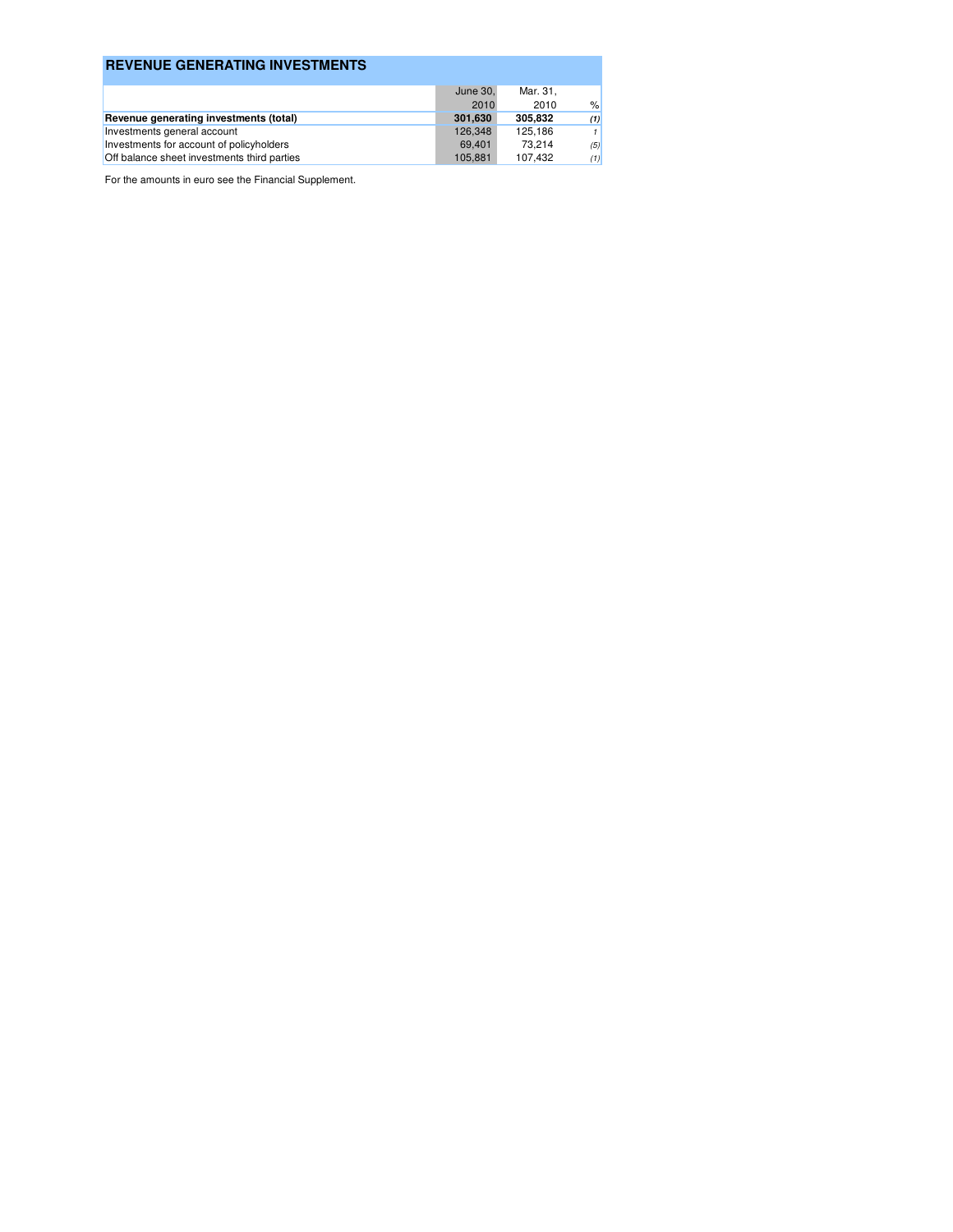| <b>REVENUE GENERATING INVESTMENTS</b>       |          |          |      |
|---------------------------------------------|----------|----------|------|
|                                             | June 30. | Mar. 31, |      |
|                                             | 2010     | 2010     | $\%$ |
| Revenue generating investments (total)      | 301,630  | 305.832  | (1)  |
| Investments general account                 | 126.348  | 125,186  |      |
| Investments for account of policyholders    | 69.401   | 73.214   | (5)  |
| Off balance sheet investments third parties | 105.881  | 107.432  | (1)  |

For the amounts in euro see the Financial Supplement.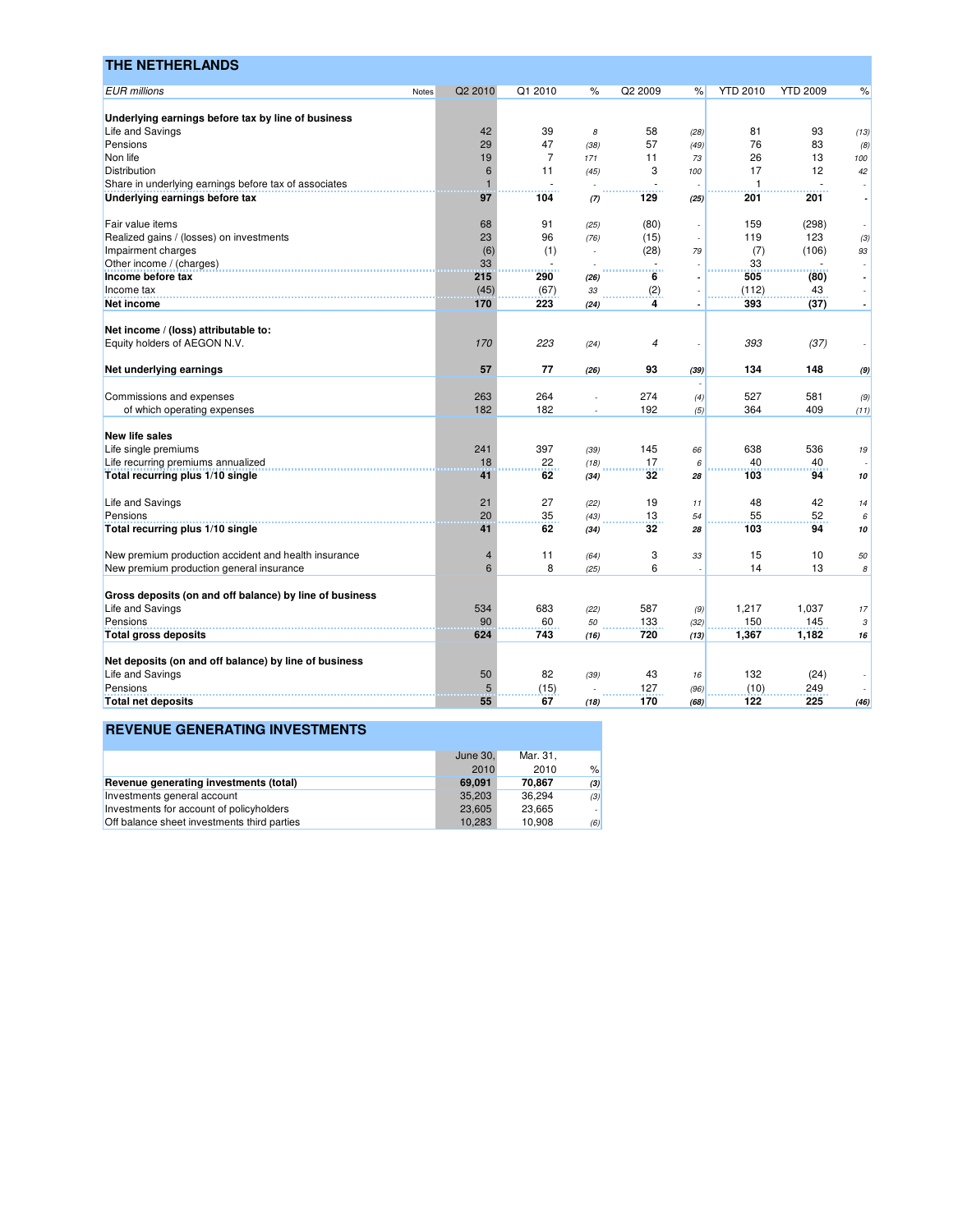| <b>THE NETHERLANDS</b>                                  |       |              |                |      |                |                          |                 |                 |                |
|---------------------------------------------------------|-------|--------------|----------------|------|----------------|--------------------------|-----------------|-----------------|----------------|
| <b>EUR</b> millions                                     | Notes | Q2 2010      | Q1 2010        | $\%$ | Q2 2009        | %                        | <b>YTD 2010</b> | <b>YTD 2009</b> | $\%$           |
|                                                         |       |              |                |      |                |                          |                 |                 |                |
| Underlying earnings before tax by line of business      |       |              |                |      |                |                          |                 |                 |                |
| Life and Savings                                        |       | 42           | 39             | 8    | 58             | (28)                     | 81              | 93              | (13)           |
| Pensions                                                |       | 29           | 47             | (38) | 57             | (49)                     | 76              | 83              | (8)            |
| Non life                                                |       | 19           | $\overline{7}$ | 171  | 11             | 73                       | 26              | 13              | 100            |
| <b>Distribution</b>                                     |       | 6            | 11             | (45) | 3              | 100                      | 17              | 12              | 42             |
| Share in underlying earnings before tax of associates   |       | $\mathbf{1}$ |                |      |                |                          | -1              |                 |                |
| Underlying earnings before tax                          |       | 97           | 104            | (7)  | 129            | (25)                     | 201             | 201             | ÷.             |
| Fair value items                                        |       | 68           | 91             | (25) | (80)           | ×,                       | 159             | (298)           | ÷              |
| Realized gains / (losses) on investments                |       | 23           | 96             | (76) | (15)           |                          | 119             | 123             | (3)            |
| Impairment charges                                      |       | (6)          | (1)            |      | (28)           | 79                       | (7)             | (106)           | 93             |
| Other income / (charges)                                |       | 33           |                |      |                |                          | 33              |                 | ×.             |
| Income before tax                                       |       | 215          | 290            | (26) | 6              | J.                       | 505             | (80)            | $\blacksquare$ |
| Income tax                                              |       | (45)         | (67)           | 33   | (2)            |                          | (112)           | 43              |                |
| Net income                                              |       | 170          | 223            | (24) | 4              | $\overline{\phantom{a}}$ | 393             | (37)            | $\blacksquare$ |
|                                                         |       |              |                |      |                |                          |                 |                 |                |
| Net income / (loss) attributable to:                    |       |              |                |      |                |                          |                 |                 |                |
| Equity holders of AEGON N.V.                            |       | 170          | 223            | (24) | $\overline{4}$ |                          | 393             | (37)            |                |
|                                                         |       |              |                |      |                |                          |                 |                 |                |
| Net underlying earnings                                 |       | 57           | 77             | (26) | 93             | (39)                     | 134             | 148             | (9)            |
| Commissions and expenses                                |       | 263          | 264            |      | 274            | (4)                      | 527             | 581             | (9)            |
| of which operating expenses                             |       | 182          | 182            | ٠    | 192            | (5)                      | 364             | 409             | (11)           |
|                                                         |       |              |                |      |                |                          |                 |                 |                |
| <b>New life sales</b>                                   |       |              |                |      |                |                          |                 |                 |                |
| Life single premiums                                    |       | 241          | 397            | (39) | 145            | 66                       | 638             | 536             | 19             |
| Life recurring premiums annualized                      |       | 18           | 22             | (18) | 17             | 6                        | 40              | 40              |                |
| Total recurring plus 1/10 single                        |       | 41           | 62             | (34) | 32             | 28                       | 103             | 94              | 10             |
|                                                         |       |              |                |      |                |                          |                 |                 |                |
| Life and Savings                                        |       | 21           | 27             | (22) | 19             | 11                       | 48              | 42              | $14$           |
| Pensions                                                |       | 20           | 35             | (43) | 13             | 54                       | 55              | 52              | 6              |
| Total recurring plus 1/10 single                        |       | 41           | 62             | (34) | 32             | 28                       | 103             | 94              | 10             |
| New premium production accident and health insurance    |       | 4            | 11             | (64) | 3              | 33                       | 15              | 10              | 50             |
| New premium production general insurance                |       | 6            | 8              | (25) | 6              |                          | 14              | 13              | 8              |
|                                                         |       |              |                |      |                |                          |                 |                 |                |
| Gross deposits (on and off balance) by line of business |       |              |                |      |                |                          |                 |                 |                |
| Life and Savings                                        |       | 534          | 683            | (22) | 587            | (9)                      | 1,217           | 1,037           | 17             |
| Pensions                                                |       | 90           | 60             | 50   | 133            | (32)                     | 150             | 145             | 3              |
| <b>Total gross deposits</b>                             |       | 624          | 743            | (16) | 720            | (13)                     | 1,367           | 1,182           | 16             |
|                                                         |       |              |                |      |                |                          |                 |                 |                |
| Net deposits (on and off balance) by line of business   |       |              |                |      |                |                          |                 |                 |                |
| Life and Savings                                        |       | 50           | 82             | (39) | 43             | 16                       | 132             | (24)            |                |
| Pensions                                                |       | 5<br>55      | (15)<br>67     |      | 127<br>170     | (96)                     | (10)<br>122     | 249<br>225      |                |
| <b>Total net deposits</b>                               |       |              |                | (18) |                | (68)                     |                 |                 | (46)           |
|                                                         |       |              |                |      |                |                          |                 |                 |                |

|                                             | June 30.<br>2010 | Mar. 31.<br>2010 | %   |
|---------------------------------------------|------------------|------------------|-----|
| Revenue generating investments (total)      | 69.091           | 70.867           | (3) |
| Investments general account                 | 35,203           | 36.294           | (3) |
| Investments for account of policyholders    | 23.605           | 23.665           |     |
| Off balance sheet investments third parties | 10.283           | 10.908           | (6) |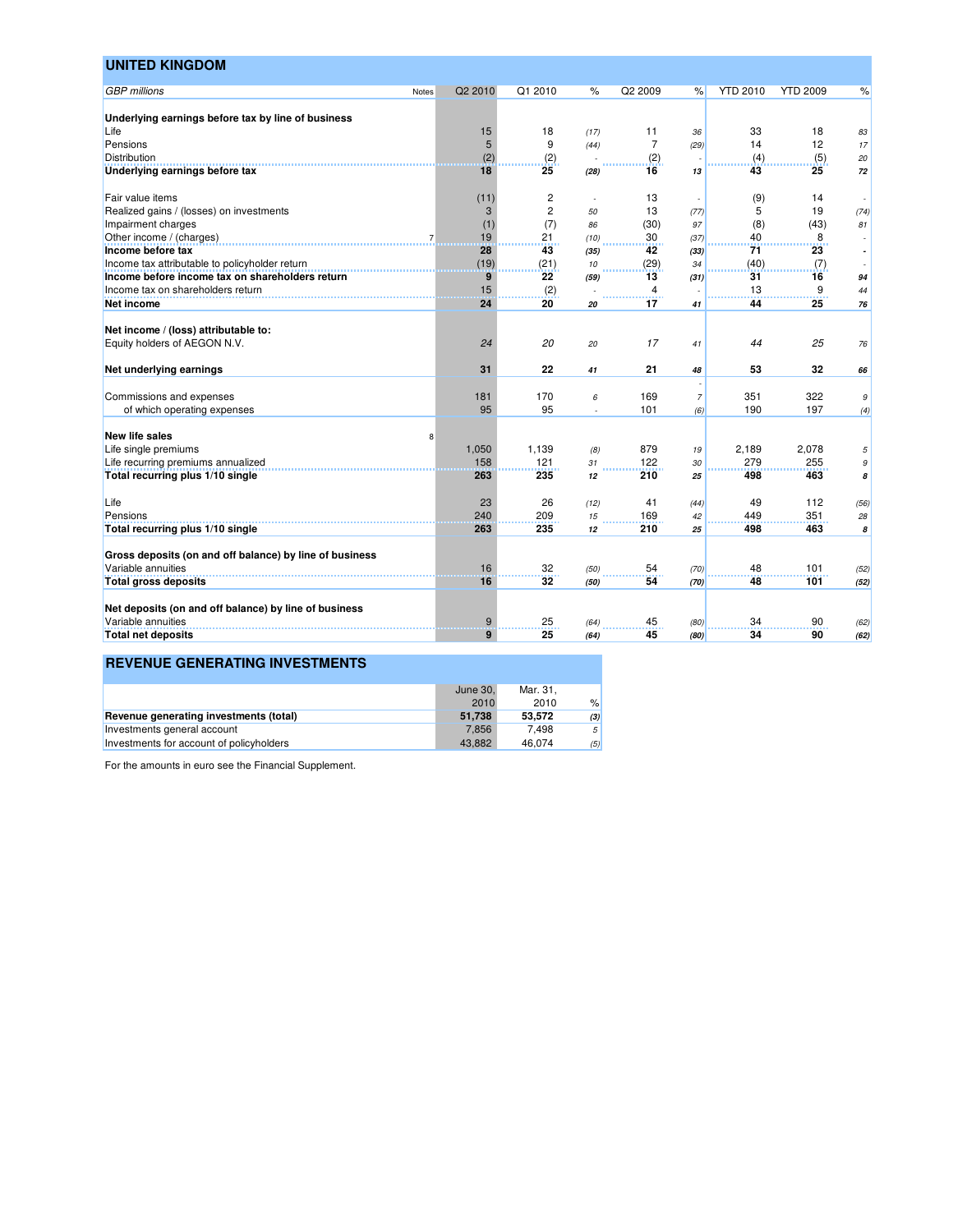| <b>UNITED KINGDOM</b>                                   |                      |                |      |                |                |                 |                 |                          |
|---------------------------------------------------------|----------------------|----------------|------|----------------|----------------|-----------------|-----------------|--------------------------|
| <b>GBP</b> millions<br><b>Notes</b>                     | Q2 2010              | Q1 2010        | $\%$ | Q2 2009        | %              | <b>YTD 2010</b> | <b>YTD 2009</b> | $\%$                     |
| Underlying earnings before tax by line of business      |                      |                |      |                |                |                 |                 |                          |
| Life                                                    | 15                   | 18             | (17) | 11             | 36             | 33              | 18              | 83                       |
| Pensions                                                | 5                    | 9              | (44) | $\overline{7}$ | (29)           | 14              | 12              | 17                       |
| <b>Distribution</b>                                     | (2)                  | (2)            |      | (2)            |                | (4)             | (5)             | 20                       |
| Underlying earnings before tax                          | 18                   | 25             | (28) | 16             | 13             | 43              | 25              | 72                       |
| Fair value items                                        | (11)                 | $\overline{c}$ |      | 13             |                | (9)             | 14              |                          |
| Realized gains / (losses) on investments                | 3                    | $\overline{c}$ | 50   | 13             | (77)           | 5               | 19              | (74)                     |
| Impairment charges                                      | (1)                  | (7)            | 86   | (30)           | 97             | (8)             | (43)            | 81                       |
| Other income / (charges)                                | 19<br>$\overline{7}$ | 21             | (10) | 30             | (37)           | 40              | 8               |                          |
| Income before tax                                       | 28                   | 43             | (35) | 42             | (33)           | 71              | 23              | $\blacksquare$           |
| Income tax attributable to policyholder return          | (19)                 | (21)           | 10   | (29)           | 34             | (40)            | (7)             | $\overline{\phantom{a}}$ |
| Income before income tax on shareholders return         | 9                    | 22             | (59) | 13             | (31)           | 31              | 16              | 94                       |
| Income tax on shareholders return                       | 15                   | (2)            |      | 4              |                | 13              | 9               | 44                       |
| Net income                                              | 24                   | 20             | 20   | 17             | 41             | 44              | 25              | 76                       |
|                                                         |                      |                |      |                |                |                 |                 |                          |
| Net income / (loss) attributable to:                    |                      |                |      |                |                |                 |                 |                          |
| Equity holders of AEGON N.V.                            | 24                   | 20             | 20   | 17             | 41             | 44              | 25              | 76                       |
| Net underlying earnings                                 | 31                   | 22             | 41   | 21             | 48             | 53              | 32              | 66                       |
| Commissions and expenses                                | 181                  | 170            | 6    | 169            | $\overline{7}$ | 351             | 322             | 9                        |
| of which operating expenses                             | 95                   | 95             |      | 101            | (6)            | 190             | 197             | (4)                      |
|                                                         |                      |                |      |                |                |                 |                 |                          |
| <b>New life sales</b>                                   | 8                    |                |      |                |                |                 |                 |                          |
| Life single premiums                                    | 1,050                | 1,139          | (8)  | 879            | 19             | 2,189           | 2,078           | 5                        |
| Life recurring premiums annualized                      | 158                  | 121            | 31   | 122            | 30             | 279             | 255             | 9                        |
| Total recurring plus 1/10 single                        | 263                  | 235            | 12   | 210            | 25             | 498             | 463             | 8                        |
| Life                                                    | 23                   | 26             | (12) | 41             | (44)           | 49              | 112             | (56)                     |
| Pensions                                                | 240                  | 209            | 15   | 169            | 42             | 449             | 351             | 28                       |
| Total recurring plus 1/10 single                        | 263                  | 235            | 12   | 210            | 25             | 498             | 463             | 8                        |
| Gross deposits (on and off balance) by line of business |                      |                |      |                |                |                 |                 |                          |
| Variable annuities                                      | 16                   | 32             | (50) | 54             | (70)           | 48              | 101             | (52)                     |
| <b>Total gross deposits</b>                             | 16                   | 32             | (50) | 54             | (70)           | 48              | 101             | (52)                     |
| Net deposits (on and off balance) by line of business   |                      |                |      |                |                |                 |                 |                          |
| Variable annuities                                      | 9                    | 25             | (64) | 45             | (80)           | 34              | 90              | (62)                     |
| <b>Total net deposits</b>                               | 9                    | 25             | (64) | 45             | (80)           | 34              | 90              | (62)                     |

|                                          | June 30. | Mar. 31. |                |
|------------------------------------------|----------|----------|----------------|
|                                          | 2010     | 2010     | %              |
| Revenue generating investments (total)   | 51.738   | 53.572   | (3)            |
| Investments general account              | 7.856    | 7.498    | 5 <sup>1</sup> |
| Investments for account of policyholders | 43.882   | 46.074   | (5)            |

For the amounts in euro see the Financial Supplement.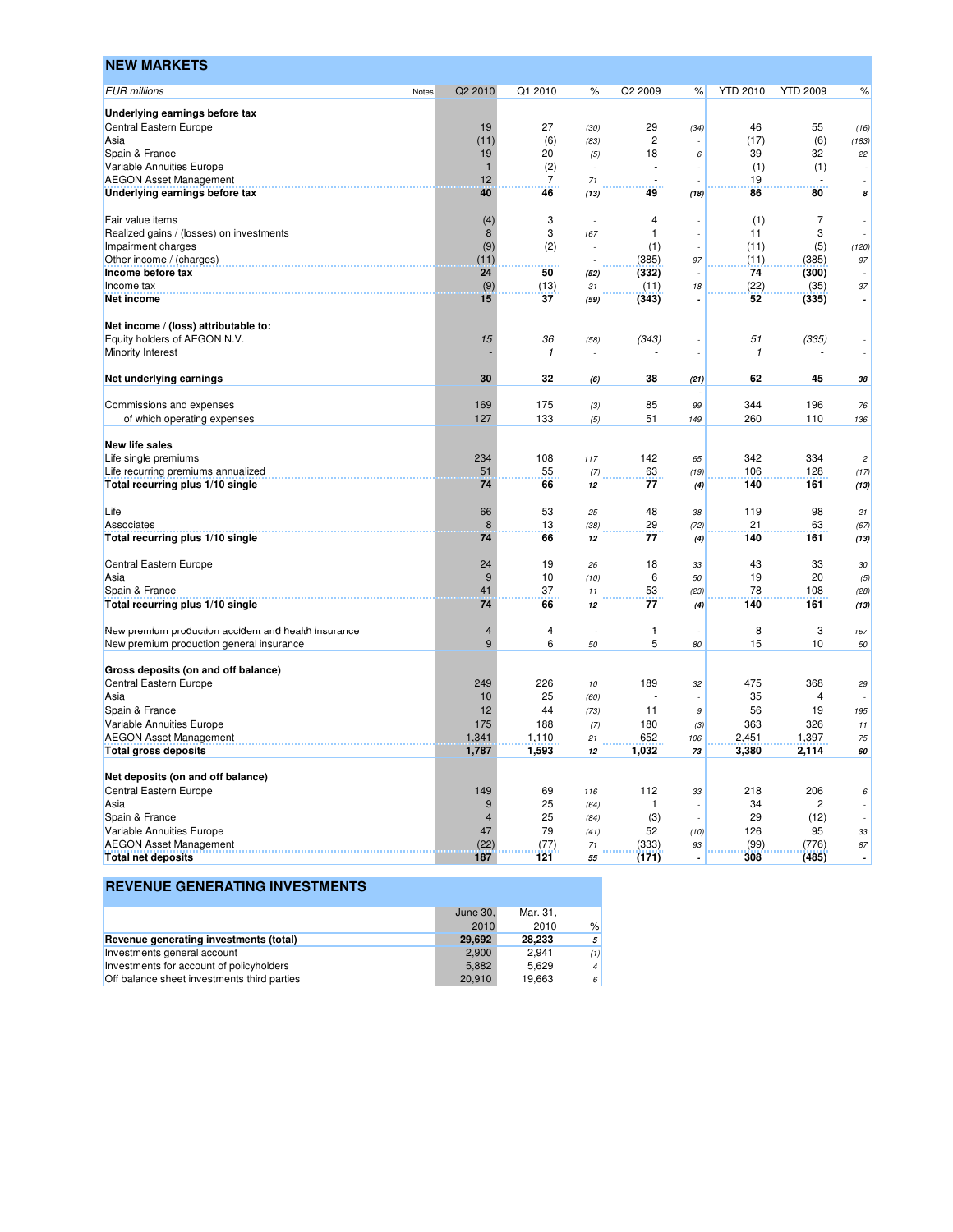| NEW MARKETS                                         |                |                         |      |                |                          |                 |                 |                          |
|-----------------------------------------------------|----------------|-------------------------|------|----------------|--------------------------|-----------------|-----------------|--------------------------|
| <b>EUR</b> millions<br>Notes                        | Q2 2010        | Q1 2010                 | %    | Q2 2009        | %                        | <b>YTD 2010</b> | <b>YTD 2009</b> | $\%$                     |
| Underlying earnings before tax                      |                |                         |      |                |                          |                 |                 |                          |
| Central Eastern Europe                              | 19             | 27                      | (30) | 29             | (34)                     | 46              | 55              | (16)                     |
| Asia                                                | (11)           | (6)                     | (83) | $\overline{c}$ |                          | (17)            | (6)             | (183)                    |
| Spain & France                                      | 19             | 20                      | (5)  | 18             | 6                        | 39              | 32              | 22                       |
| Variable Annuities Europe                           | $\mathbf{1}$   | (2)                     |      |                | $\overline{\phantom{a}}$ | (1)             | (1)             |                          |
| <b>AEGON Asset Management</b>                       | 12             | 7                       | 71   |                |                          | 19              |                 |                          |
| Underlying earnings before tax                      | 40             | 46                      | (13) | 49             | (18)                     | 86              | 80              | 8                        |
| Fair value items                                    | (4)            | 3                       |      | $\overline{4}$ |                          | (1)             | $\overline{7}$  |                          |
| Realized gains / (losses) on investments            | 8              | 3                       | 167  | $\mathbf{1}$   | J.                       | 11              | 3               | ÷                        |
| Impairment charges                                  | (9)            | (2)                     |      | (1)            | i,                       | (11)            | (5)             | (120)                    |
| Other income / (charges)                            | (11)           |                         |      | (385)          | 97                       | (11)            | (385)           | 97                       |
| Income before tax                                   | 24             | 50                      | (52) | (332)          |                          | 74              | (300)           |                          |
| Income tax                                          | (9)            | (13)                    | 31   | (11)           | 18                       | (22)            | (35)            | 37                       |
| Net income                                          | 15             | 37                      | (59) | (343)          |                          | 52              | (335)           | $\overline{a}$           |
| Net income / (loss) attributable to:                |                |                         |      |                |                          |                 |                 |                          |
| Equity holders of AEGON N.V.                        | 15             | 36                      | (58) | (343)          |                          | 51              | (335)           |                          |
| <b>Minority Interest</b>                            |                | $\mathbf{1}$            |      |                |                          | 1               |                 |                          |
| Net underlying earnings                             | 30             | 32                      | (6)  | 38             | (21)                     | 62              | 45              | 38                       |
| Commissions and expenses                            | 169            | 175                     | (3)  | 85             | 99                       | 344             | 196             | 76                       |
| of which operating expenses                         | 127            | 133                     | (5)  | 51             | 149                      | 260             | 110             | 136                      |
| <b>New life sales</b>                               |                |                         |      |                |                          |                 |                 |                          |
| Life single premiums                                | 234            | 108                     | 117  | 142            | 65                       | 342             | 334             | $\overline{c}$           |
| Life recurring premiums annualized                  | 51             | 55                      | (7)  | 63             | (19)                     | 106             | 128             | (17)                     |
| Total recurring plus 1/10 single                    | 74             | 66                      | 12   | 77             | (4)                      | 140             | 161             | (13)                     |
| Life                                                | 66             | 53                      | 25   | 48             | 38                       | 119             | 98              | 21                       |
| Associates                                          | 8              | 13                      | (38) | 29             | (72)                     | 21              | 63              | (67)                     |
| Total recurring plus 1/10 single                    | 74             | 66                      | 12   | 77             | (4)                      | 140             | 161             | (13)                     |
|                                                     |                |                         |      |                |                          |                 |                 |                          |
| Central Eastern Europe                              | 24             | 19                      | 26   | 18             | 33                       | 43              | 33              | 30                       |
| Asia                                                | 9              | 10                      | (10) | 6              | 50                       | 19              | 20              | (5)                      |
| Spain & France                                      | 41             | 37                      | 11   | 53             | (23)                     | 78              | 108             | (28)                     |
| Total recurring plus 1/10 single                    | 74             | 66                      | 12   | 77             | (4)                      | 140             | 161             | (13)                     |
| New premium production accidem and health insurance | $\overline{4}$ | $\overline{\mathbf{4}}$ |      | $\mathbf{1}$   |                          | 8               | 3               | 101                      |
| New premium production general insurance            | 9              | 6                       | 50   | 5              | 80                       | 15              | 10              | 50                       |
| Gross deposits (on and off balance)                 |                |                         |      |                |                          |                 |                 |                          |
| Central Eastern Europe                              | 249            | 226                     | 10   | 189            | 32                       | 475             | 368             | 29                       |
| Asia                                                | 10             | 25                      | (60) |                |                          | 35              | $\overline{4}$  |                          |
| Spain & France                                      | 12             | 44                      | (73) | 11             | 9                        | 56              | 19              | 195                      |
| Variable Annuities Europe                           | 175            | 188                     | (7)  | 180            | (3)                      | 363             | 326             | 11                       |
| <b>AEGON Asset Management</b>                       | 1,341          | 1,110                   | 21   | 652            | 106                      | 2,451           | 1,397           | 75                       |
| <b>Total gross deposits</b>                         | 1,787          | 1,593                   | 12   | 1,032          | 73                       | 3,380           | 2,114           | 60                       |
| Net deposits (on and off balance)                   |                |                         |      |                |                          |                 |                 |                          |
| Central Eastern Europe                              | 149            | 69                      | 116  | 112            | 33                       | 218             | 206             | 6                        |
| Asia                                                | 9              | 25                      | (64) | $\mathbf{1}$   |                          | 34              | $\overline{2}$  |                          |
| Spain & France                                      | $\overline{4}$ | 25                      | (84) | (3)            |                          | 29              | (12)            | $\overline{\phantom{a}}$ |
| Variable Annuities Europe                           | 47             | 79                      | (41) | 52             | (10)                     | 126             | 95              | 33                       |
| <b>AEGON Asset Management</b>                       | (22)           | (77)                    | 71   | (333)          | 93                       | (99)            | (776)           | 87                       |
| <b>Total net deposits</b>                           | 187            | 121                     | 55   | (171)          |                          | 308             | (485)           |                          |

|                                             | June 30. | Mar. 31. |                |
|---------------------------------------------|----------|----------|----------------|
|                                             | 2010     | 2010     | %              |
| Revenue generating investments (total)      | 29.692   | 28.233   | 5 <sup>1</sup> |
| Investments general account                 | 2.900    | 2.941    | (1)            |
| Investments for account of policyholders    | 5.882    | 5.629    | $\overline{4}$ |
| Off balance sheet investments third parties | 20.910   | 19.663   | 6 <sup>1</sup> |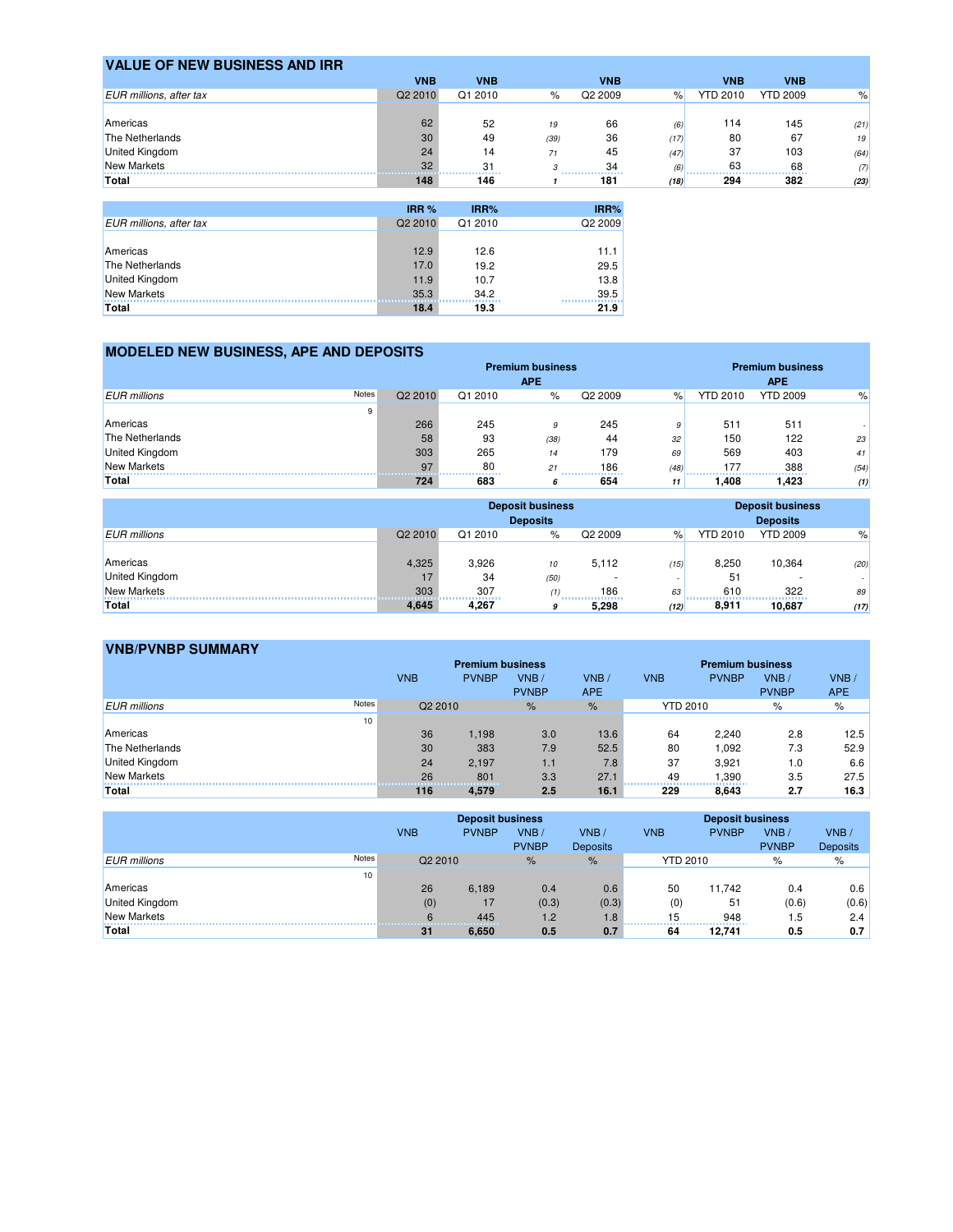| <b>VALUE OF NEW BUSINESS AND IRR</b> |                     |            |      |                            |      |                 |                 |      |
|--------------------------------------|---------------------|------------|------|----------------------------|------|-----------------|-----------------|------|
|                                      | <b>VNB</b>          | <b>VNB</b> |      | <b>VNB</b>                 |      | <b>VNB</b>      | <b>VNB</b>      |      |
| <b>EUR</b> millions, after tax       | Q <sub>2</sub> 2010 | Q1 2010    | %    | Q <sub>2</sub> 2009        | $\%$ | <b>YTD 2010</b> | <b>YTD 2009</b> | %    |
|                                      |                     |            |      |                            |      |                 |                 |      |
| Americas                             | 62                  | 52         | 19   | 66                         | (6)  | 114             | 145             | (21) |
| The Netherlands                      | 30                  | 49         | (39) | 36                         | (17) | 80              | 67              | 19   |
| <b>United Kingdom</b>                | 24                  | 14         | 71   | 45                         | (47) | 37              | 103             | (64) |
| New Markets                          | 32                  | 31         |      | 34<br>-------------------- | (6)  | 63              | 68              | (7)  |
| Total                                | 148                 | 146        |      | 181                        | (18) | 294             | 382             | (23) |

|                                | IRR %   | IRR%    | IRR%    |
|--------------------------------|---------|---------|---------|
| <b>EUR</b> millions, after tax | Q2 2010 | Q1 2010 | Q2 2009 |
|                                |         |         |         |
| Americas                       | 12.9    | 12.6    | 11.1    |
| The Netherlands                | 17.0    | 19.2    | 29.5    |
| <b>United Kingdom</b>          | 11.9    | 10.7    | 13.8    |
| New Markets                    | 35.3    | 34.2    | 39.5    |
| Total                          | 18.4    | 19.3    | 21.9    |

| <b>MODELED NEW BUSINESS, APE AND DEPOSITS</b> |         |                         |      |                             |               |                 |                         |      |  |  |
|-----------------------------------------------|---------|-------------------------|------|-----------------------------|---------------|-----------------|-------------------------|------|--|--|
|                                               |         | <b>Premium business</b> |      |                             |               |                 | <b>Premium business</b> |      |  |  |
|                                               |         | <b>APE</b>              |      |                             |               |                 | <b>APE</b>              |      |  |  |
| <b>Notes</b><br><b>EUR</b> millions           | Q2 2010 | Q1 2010                 | %    | Q <sub>2</sub> 2009         | $\frac{9}{6}$ | <b>YTD 2010</b> | <b>YTD 2009</b>         | $\%$ |  |  |
| 9                                             |         |                         |      |                             |               |                 |                         |      |  |  |
| Americas                                      | 266     | 245                     | 9    | 245                         | 9             | 511             | 511                     |      |  |  |
| The Netherlands                               | 58      | 93                      | (38) | 44                          | 32            | 150             | 122                     | 23   |  |  |
| <b>United Kingdom</b>                         | 303     | 265                     | 14   | 179                         | 69            | 569             | 403                     | 41   |  |  |
| New Markets                                   | 97      | 80                      | 21   | 186<br>-------------------- | (48)          | 177             | 388                     | (54) |  |  |
| Total                                         | 724     | 683                     | ь    | 654                         | 11            | 1,408           | 1,423                   | (1)  |  |  |

|                       | <b>Deposit business</b><br><b>Deposits</b> |                     |      |                             |      | <b>Deposit business</b><br><b>Deposits</b> |                 |      |  |  |
|-----------------------|--------------------------------------------|---------------------|------|-----------------------------|------|--------------------------------------------|-----------------|------|--|--|
| <b>EUR</b> millions   | Q <sub>2</sub> 2010                        | Q1 2010             | %    | Q <sub>2</sub> 2009         | %    | <b>YTD 2010</b>                            | <b>YTD 2009</b> | %    |  |  |
|                       |                                            |                     |      |                             |      |                                            |                 |      |  |  |
| Americas              | 4.325                                      | 3.926               | 10   | 5.112                       | (15) | 8.250                                      | 10.364          | (20) |  |  |
| <b>United Kingdom</b> |                                            | 34                  | (50) |                             |      | -51                                        |                 |      |  |  |
| <b>New Markets</b>    | 303                                        | 307<br>------------ | (1)  | 186<br>-------------------- | 63   | 610                                        | 322             | 89   |  |  |
| Total                 | 4.645                                      | 4,267               | 9    | 5,298                       | (12) | 8.911                                      | 10.687          | (17) |  |  |

# **VNB/PVNBP SUMMARY**

|                                     |                     | <b>Premium business</b> |                      |                    | <b>Premium business</b><br><b>VNB</b><br><b>PVNBP</b><br>VNB/<br><b>YTD 2010</b><br>%<br>64<br>2.240 |       |              |                   |
|-------------------------------------|---------------------|-------------------------|----------------------|--------------------|------------------------------------------------------------------------------------------------------|-------|--------------|-------------------|
|                                     | <b>VNB</b>          | <b>PVNBP</b>            | VNB/<br><b>PVNBP</b> | VNB/<br><b>APE</b> |                                                                                                      |       | <b>PVNBP</b> | VNB<br><b>APE</b> |
| <b>Notes</b><br><b>EUR</b> millions | Q <sub>2</sub> 2010 |                         | $\%$                 | $\%$               |                                                                                                      |       |              | $\%$              |
| 10                                  |                     |                         |                      |                    |                                                                                                      |       |              |                   |
| Americas                            | 36                  | 1,198                   | 3.0                  | 13.6               |                                                                                                      |       | 2.8          | 12.5              |
| The Netherlands                     | 30                  | 383                     | 7.9                  | 52.5               | 80                                                                                                   | 1,092 | 7.3          | 52.9              |
| <b>United Kingdom</b>               | 24                  | 2.197                   | 1.1                  | 7.8                | 37                                                                                                   | 3.921 | 1.0          | 6.6               |
| <b>New Markets</b>                  | 26                  | 801                     | 3.3                  | 27.1               | 49<br>------------------                                                                             | .390  | 3.5          | 27.5              |
| Total                               | 116                 | 4.579                   | 2.5                  | 16.1               | 229                                                                                                  | 8.643 | 2.7          | 16.3              |

|                                     |            | <b>Deposit business</b> |                      |                         |                 | <b>Deposit business</b> |                     |                         |
|-------------------------------------|------------|-------------------------|----------------------|-------------------------|-----------------|-------------------------|---------------------|-------------------------|
|                                     | <b>VNB</b> | <b>PVNBP</b>            | VNB/<br><b>PVNBP</b> | VNB/<br><b>Deposits</b> | <b>VNB</b>      | <b>PVNBP</b>            | VNB<br><b>PVNBP</b> | VNB/<br><b>Deposits</b> |
| <b>Notes</b><br><b>EUR</b> millions | Q2 2010    |                         | $\%$                 | $\frac{9}{6}$           | <b>YTD 2010</b> |                         | %                   | $\%$                    |
| 10                                  |            |                         |                      |                         |                 |                         |                     |                         |
| Americas                            | 26         | 6,189                   | 0.4                  | 0.6                     | 50              | 11.742                  | 0.4                 | 0.6                     |
| <b>United Kingdom</b>               | (0)        | 17                      | (0.3)                | (0.3)                   | (0)             | 51                      | (0.6)               | (0.6)                   |
| New Markets                         | 6          | 445                     | 1.2                  | 1.8                     | 15<br>.         | 948                     | 1.5                 | 2.4                     |
| Total                               | 31         | 6,650                   | 0.5                  | 0.7                     | 64              | 12.741                  | 0.5                 | 0.7                     |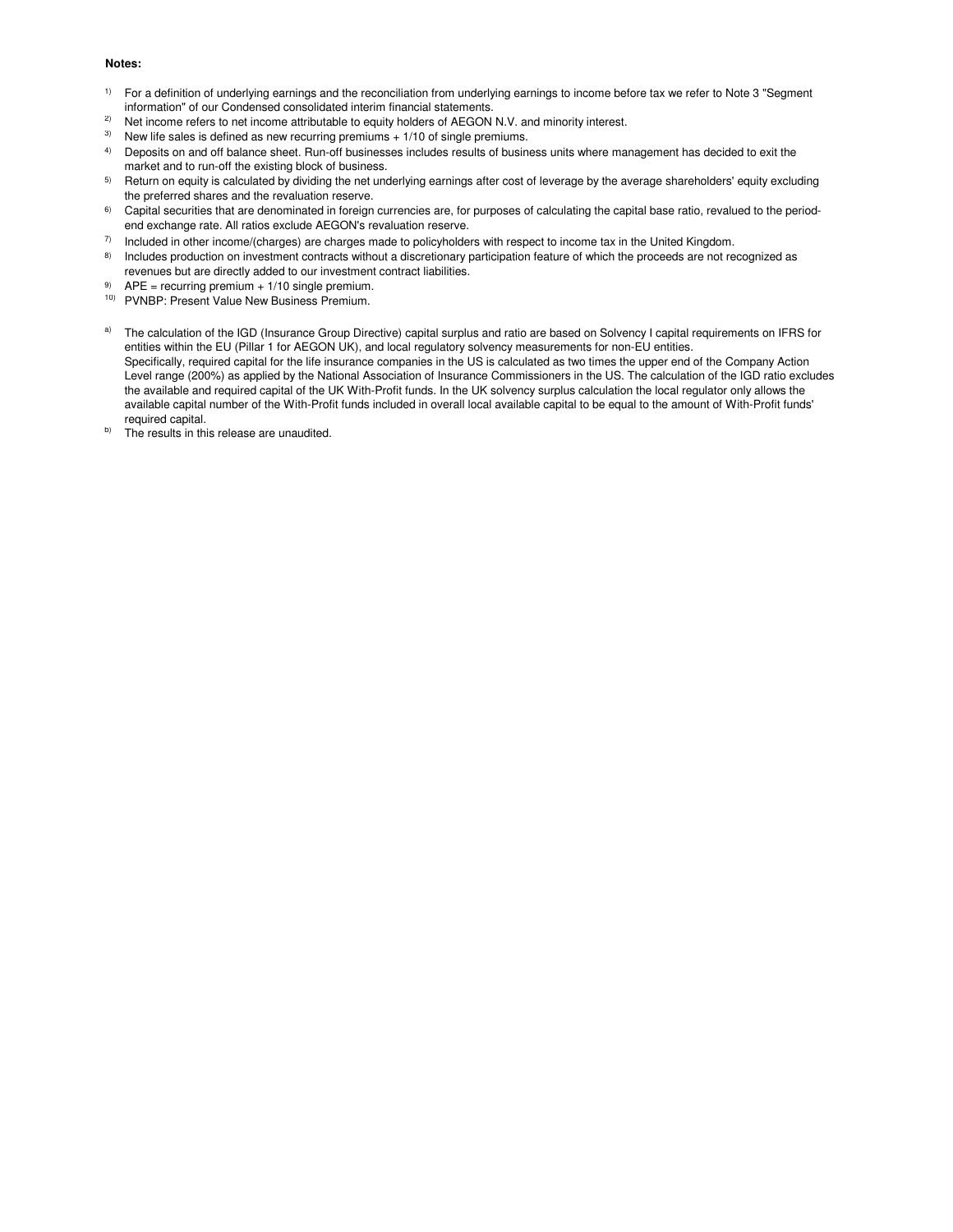### **Notes:**

- 1) For a definition of underlying earnings and the reconciliation from underlying earnings to income before tax we refer to Note 3 "Segment information" of our Condensed consolidated interim financial statements.
- <sup>2)</sup> Net income refers to net income attributable to equity holders of AEGON N.V. and minority interest.
- $3)$  New life sales is defined as new recurring premiums + 1/10 of single premiums.
- 4) Deposits on and off balance sheet. Run-off businesses includes results of business units where management has decided to exit the market and to run-off the existing block of business.
- <sup>5)</sup> Return on equity is calculated by dividing the net underlying earnings after cost of leverage by the average shareholders' equity excluding the preferred shares and the revaluation reserve.
- $6$  Capital securities that are denominated in foreign currencies are, for purposes of calculating the capital base ratio, revalued to the period-end exchange rate. All ratios exclude AEGON's revaluation reserve.
- $7$  Included in other income/(charges) are charges made to policyholders with respect to income tax in the United Kingdom.
- 8) Includes production on investment contracts without a discretionary participation feature of which the proceeds are not recognized as revenues but are directly added to our investment contract liabilities.
- $9$  APE = recurring premium + 1/10 single premium.
- 10) PVNBP: Present Value New Business Premium.
- a) The calculation of the IGD (Insurance Group Directive) capital surplus and ratio are based on Solvency I capital requirements on IFRS for entities within the EU (Pillar 1 for AEGON UK), and local regulatory solvency measurements for non-EU entities. Specifically, required capital for the life insurance companies in the US is calculated as two times the upper end of the Company Action Level range (200%) as applied by the National Association of Insurance Commissioners in the US. The calculation of the IGD ratio excludes the available and required capital of the UK With-Profit funds. In the UK solvency surplus calculation the local regulator only allows the available capital number of the With-Profit funds included in overall local available capital to be equal to the amount of With-Profit funds' required capital.
- <sup>b)</sup> The results in this release are unaudited.